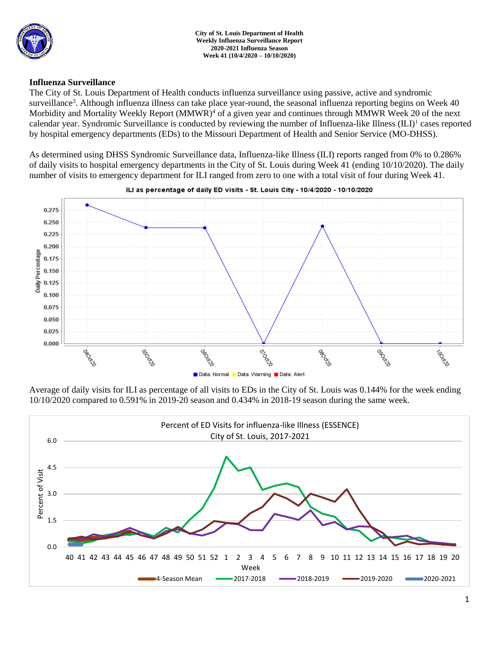

## **Influenza Surveillance**

The City of St. Louis Department of Health conducts influenza surveillance using passive, active and syndromic surveillance<sup>3</sup>. Although influenza illness can take place year-round, the seasonal influenza reporting begins on Week 40 Morbidity and Mortality Weekly Report (MMWR)<sup>4</sup> of a given year and continues through MMWR Week 20 of the next calendar year. Syndromic Surveillance is conducted by reviewing the number of Influenza-like Illness (ILI)<sup>1</sup> cases reported by hospital emergency departments (EDs) to the Missouri Department of Health and Senior Service (MO-DHSS).

As determined using DHSS Syndromic Surveillance data, Influenza-like Illness (ILI) reports ranged from 0% to 0.286% of daily visits to hospital emergency departments in the City of St. Louis during Week 41 (ending 10/10/2020). The daily number of visits to emergency department for ILI ranged from zero to one with a total visit of four during Week 41.



ILI as percentage of daily ED visits - St. Louis City - 10/4/2020 - 10/10/2020

Average of daily visits for ILI as percentage of all visits to EDs in the City of St. Louis was 0.144% for the week ending 10/10/2020 compared to 0.591% in 2019-20 season and 0.434% in 2018-19 season during the same week.

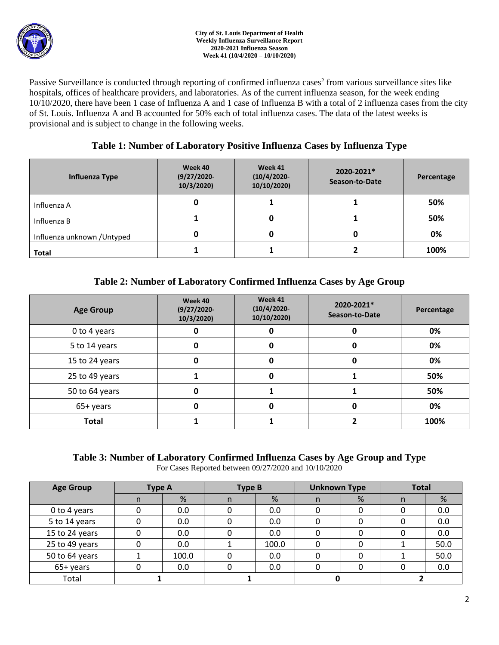

Passive Surveillance is conducted through reporting of confirmed influenza cases<sup>2</sup> from various surveillance sites like hospitals, offices of healthcare providers, and laboratories. As of the current influenza season, for the week ending 10/10/2020, there have been 1 case of Influenza A and 1 case of Influenza B with a total of 2 influenza cases from the city of St. Louis. Influenza A and B accounted for 50% each of total influenza cases. The data of the latest weeks is provisional and is subject to change in the following weeks.

# **Table 1: Number of Laboratory Positive Influenza Cases by Influenza Type**

| <b>Influenza Type</b>       | Week 40<br>$(9/27/2020 -$<br>10/3/2020 | Week 41<br>$(10/4/2020 -$<br>10/10/2020) | 2020-2021*<br>Season-to-Date | Percentage |  |
|-----------------------------|----------------------------------------|------------------------------------------|------------------------------|------------|--|
| Influenza A                 | 0                                      |                                          |                              | 50%        |  |
| Influenza B                 |                                        |                                          |                              | 50%        |  |
| Influenza unknown / Untyped | 0                                      |                                          |                              | 0%         |  |
| <b>Total</b>                |                                        |                                          |                              | 100%       |  |

# **Table 2: Number of Laboratory Confirmed Influenza Cases by Age Group**

| <b>Age Group</b> | Week 40<br>$(9/27/2020 -$<br>10/3/2020 | Week 41<br>$(10/4/2020 -$<br>10/10/2020) | 2020-2021*<br>Season-to-Date | Percentage |
|------------------|----------------------------------------|------------------------------------------|------------------------------|------------|
| 0 to 4 years     |                                        |                                          |                              | 0%         |
| 5 to 14 years    | U                                      | U                                        |                              | 0%         |
| 15 to 24 years   | 0<br>0<br>0                            |                                          |                              | 0%         |
| 25 to 49 years   |                                        | 0                                        |                              | 50%        |
| 50 to 64 years   | 0                                      |                                          |                              | 50%        |
| 65+ years        |                                        |                                          |                              |            |
| <b>Total</b>     |                                        |                                          |                              | 100%       |

# **Table 3: Number of Laboratory Confirmed Influenza Cases by Age Group and Type**

For Cases Reported between 09/27/2020 and 10/10/2020

| <b>Age Group</b> | <b>Type A</b> |       | <b>Type B</b> |       | <b>Unknown Type</b> |   | <b>Total</b> |      |
|------------------|---------------|-------|---------------|-------|---------------------|---|--------------|------|
|                  | n             | %     | n             | %     | n                   | % | n            | %    |
| 0 to 4 years     |               | 0.0   |               | 0.0   |                     |   |              | 0.0  |
| 5 to 14 years    |               | 0.0   |               | 0.0   |                     |   |              | 0.0  |
| 15 to 24 years   |               | 0.0   |               | 0.0   |                     |   |              | 0.0  |
| 25 to 49 years   |               | 0.0   |               | 100.0 |                     |   |              | 50.0 |
| 50 to 64 years   |               | 100.0 |               | 0.0   |                     |   |              | 50.0 |
| 65+ years        |               | 0.0   |               | 0.0   |                     |   |              | 0.0  |
| Total            |               |       |               |       |                     |   |              |      |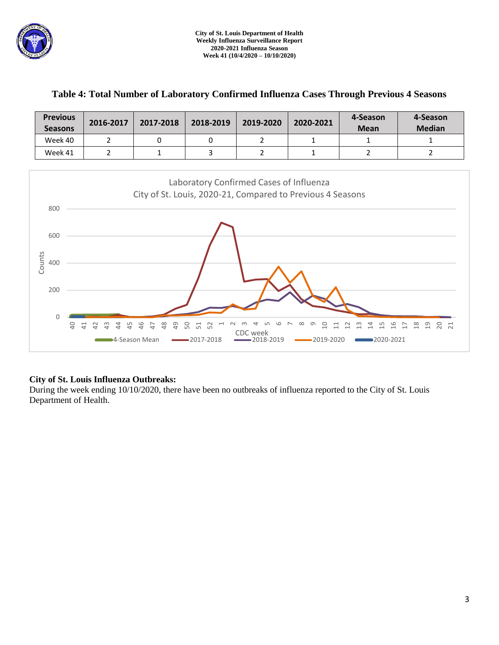

| <b>Previous</b><br><b>Seasons</b> | 2016-2017 | 2017-2018 | 2018-2019 | 2019-2020 | 2020-2021 | 4-Season<br><b>Mean</b> | 4-Season<br><b>Median</b> |
|-----------------------------------|-----------|-----------|-----------|-----------|-----------|-------------------------|---------------------------|
| Week 40                           |           |           |           |           | <b>.</b>  |                         |                           |
| Week 41                           |           |           |           |           |           |                         |                           |

## **Table 4: Total Number of Laboratory Confirmed Influenza Cases Through Previous 4 Seasons**



## **City of St. Louis Influenza Outbreaks:**

During the week ending 10/10/2020, there have been no outbreaks of influenza reported to the City of St. Louis Department of Health.